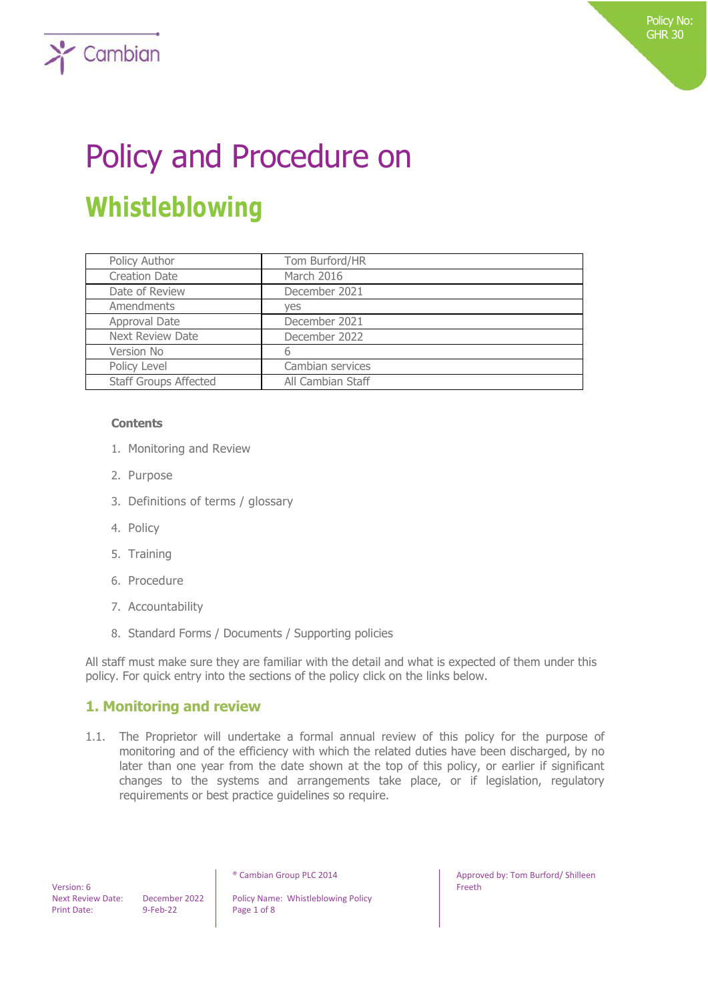# Policy and Procedure on **Whistleblowing**

| Policy Author                | Tom Burford/HR    |
|------------------------------|-------------------|
| <b>Creation Date</b>         | March 2016        |
| Date of Review               | December 2021     |
| Amendments                   | yes               |
| Approval Date                | December 2021     |
| <b>Next Review Date</b>      | December 2022     |
| Version No                   | 6                 |
| Policy Level                 | Cambian services  |
| <b>Staff Groups Affected</b> | All Cambian Staff |

### **Contents**

 $\sum$  Cambian

- 1. Monitoring and Review
- 2. Purpose
- 3. Definitions of terms / glossary
- 4. Policy
- 5. Training
- 6. Procedure
- 7. Accountability
- 8. Standard Forms / Documents / Supporting policies

All staff must make sure they are familiar with the detail and what is expected of them under this policy. For quick entry into the sections of the policy click on the links below.

## **1. Monitoring and review**

1.1. The Proprietor will undertake a formal annual review of this policy for the purpose of monitoring and of the efficiency with which the related duties have been discharged, by no later than one year from the date shown at the top of this policy, or earlier if significant changes to the systems and arrangements take place, or if legislation, regulatory requirements or best practice guidelines so require.

 Version: 6 Print Date: 9-Feb-22 Page 1 of 8

Next Review Date: December 2022 | Policy Name: Whistleblowing Policy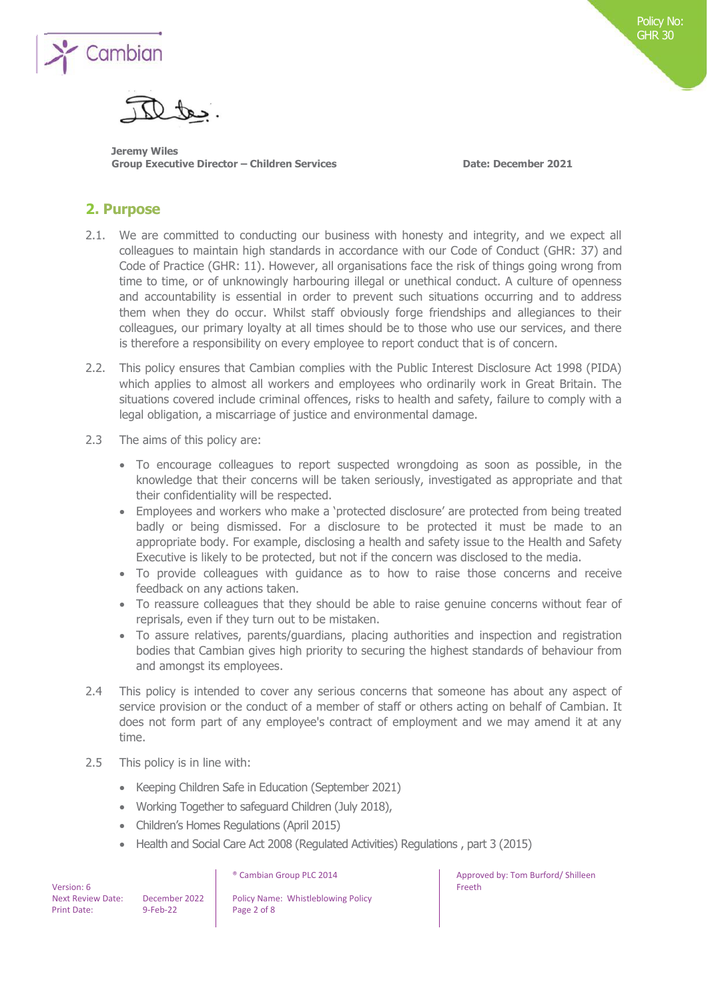

**Jeremy Wiles Group Executive Director – Children Services Date: December 2021**

Policy No: Policy No: GHR 30 GHR 30

## **2. Purpose**

- 2.1. We are committed to conducting our business with honesty and integrity, and we expect all colleagues to maintain high standards in accordance with our Code of Conduct (GHR: 37) and Code of Practice (GHR: 11). However, all organisations face the risk of things going wrong from time to time, or of unknowingly harbouring illegal or unethical conduct. A culture of openness and accountability is essential in order to prevent such situations occurring and to address them when they do occur. Whilst staff obviously forge friendships and allegiances to their colleagues, our primary loyalty at all times should be to those who use our services, and there is therefore a responsibility on every employee to report conduct that is of concern.
- 2.2. This policy ensures that Cambian complies with the Public Interest Disclosure Act 1998 (PIDA) which applies to almost all workers and employees who ordinarily work in Great Britain. The situations covered include criminal offences, risks to health and safety, failure to comply with a legal obligation, a miscarriage of justice and environmental damage.
- 2.3 The aims of this policy are:
	- To encourage colleagues to report suspected wrongdoing as soon as possible, in the knowledge that their concerns will be taken seriously, investigated as appropriate and that their confidentiality will be respected.
	- Employees and workers who make a 'protected disclosure' are protected from being treated badly or being dismissed. For a disclosure to be protected it must be made to an appropriate body. For example, disclosing a health and safety issue to the Health and Safety Executive is likely to be protected, but not if the concern was disclosed to the media.
	- To provide colleagues with guidance as to how to raise those concerns and receive feedback on any actions taken.
	- To reassure colleagues that they should be able to raise genuine concerns without fear of reprisals, even if they turn out to be mistaken.
	- To assure relatives, parents/guardians, placing authorities and inspection and registration bodies that Cambian gives high priority to securing the highest standards of behaviour from and amongst its employees.
- 2.4 This policy is intended to cover any serious concerns that someone has about any aspect of service provision or the conduct of a member of staff or others acting on behalf of Cambian. It does not form part of any employee's contract of employment and we may amend it at any time.
- 2.5 This policy is in line with:
	- Keeping Children Safe in Education (September 2021)
	- Working Together to safeguard Children (July 2018),
	- Children's Homes Regulations (April 2015)
	- Health and Social Care Act 2008 (Regulated Activities) Regulations , part 3 (2015)

 Version: 6 Print Date: 9-Feb-22 Page 2 of 8

Next Review Date: December 2022 | Policy Name: Whistleblowing Policy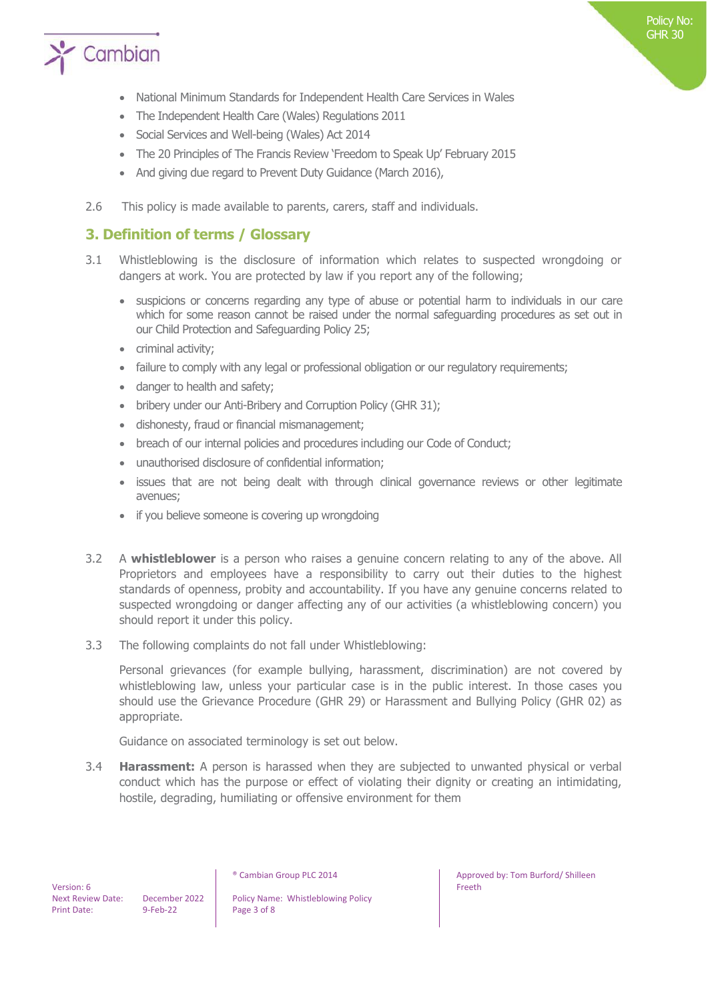

- National Minimum Standards for Independent Health Care Services in Wales
- The Independent Health Care (Wales) Regulations 2011
- Social Services and Well-being (Wales) Act 2014
- The 20 Principles of The Francis Review 'Freedom to Speak Up' February 2015
- And giving due regard to Prevent Duty Guidance (March 2016),
- 2.6 This policy is made available to parents, carers, staff and individuals.

## **3. Definition of terms / Glossary**

- 3.1 Whistleblowing is the disclosure of information which relates to suspected wrongdoing or dangers at work. You are protected by law if you report any of the following;
	- suspicions or concerns regarding any type of abuse or potential harm to individuals in our care which for some reason cannot be raised under the normal safeguarding procedures as set out in our Child Protection and Safeguarding Policy 25;
	- criminal activity;
	- failure to comply with any legal or professional obligation or our regulatory requirements;
	- danger to health and safety;
	- bribery under our Anti-Bribery and Corruption Policy (GHR 31);
	- dishonesty, fraud or financial mismanagement;
	- breach of our internal policies and procedures including our Code of Conduct;
	- unauthorised disclosure of confidential information;
	- issues that are not being dealt with through clinical governance reviews or other legitimate avenues;
	- if you believe someone is covering up wrongdoing
- 3.2 A **whistleblower** is a person who raises a genuine concern relating to any of the above. All Proprietors and employees have a responsibility to carry out their duties to the highest standards of openness, probity and accountability. If you have any genuine concerns related to suspected wrongdoing or danger affecting any of our activities (a whistleblowing concern) you should report it under this policy.
- 3.3 The following complaints do not fall under Whistleblowing:

Personal grievances (for example bullying, harassment, discrimination) are not covered by whistleblowing law, unless your particular case is in the public interest. In those cases you should use the Grievance Procedure (GHR 29) or Harassment and Bullying Policy (GHR 02) as appropriate.

Guidance on associated terminology is set out below.

3.4 **Harassment:** A person is harassed when they are subjected to unwanted physical or verbal conduct which has the purpose or effect of violating their dignity or creating an intimidating, hostile, degrading, humiliating or offensive environment for them

Next Review Date: December 2022 | Policy Name: Whistleblowing Policy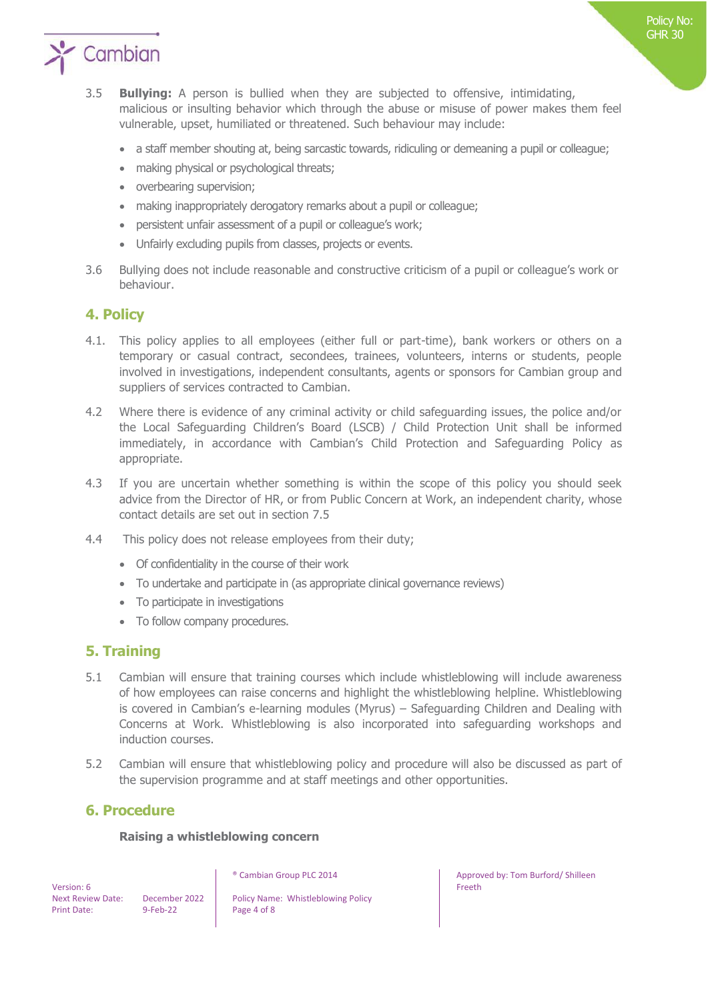

- 3.5 **Bullying:** A person is bullied when they are subjected to offensive, intimidating, malicious or insulting behavior which through the abuse or misuse of power makes them feel vulnerable, upset, humiliated or threatened. Such behaviour may include:
	- a staff member shouting at, being sarcastic towards, ridiculing or demeaning a pupil or colleague;
	- making physical or psychological threats;
	- overbearing supervision;
	- making inappropriately derogatory remarks about a pupil or colleague;
	- persistent unfair assessment of a pupil or colleague's work;
	- Unfairly excluding pupils from classes, projects or events.
- 3.6 Bullying does not include reasonable and constructive criticism of a pupil or colleague's work or behaviour.

## **4. Policy**

- 4.1. This policy applies to all employees (either full or part-time), bank workers or others on a temporary or casual contract, secondees, trainees, volunteers, interns or students, people involved in investigations, independent consultants, agents or sponsors for Cambian group and suppliers of services contracted to Cambian.
- 4.2 Where there is evidence of any criminal activity or child safeguarding issues, the police and/or the Local Safeguarding Children's Board (LSCB) / Child Protection Unit shall be informed immediately, in accordance with Cambian's Child Protection and Safeguarding Policy as appropriate.
- 4.3 If you are uncertain whether something is within the scope of this policy you should seek advice from the Director of HR, or from Public Concern at Work, an independent charity, whose contact details are set out in section 7.5
- 4.4 This policy does not release employees from their duty;
	- Of confidentiality in the course of their work
	- To undertake and participate in (as appropriate clinical governance reviews)
	- To participate in investigations
	- To follow company procedures.

### **5. Training**

- 5.1 Cambian will ensure that training courses which include whistleblowing will include awareness of how employees can raise concerns and highlight the whistleblowing helpline. Whistleblowing is covered in Cambian's e-learning modules (Myrus) – Safeguarding Children and Dealing with Concerns at Work. Whistleblowing is also incorporated into safeguarding workshops and induction courses.
- 5.2 Cambian will ensure that whistleblowing policy and procedure will also be discussed as part of the supervision programme and at staff meetings and other opportunities.

### **6. Procedure**

### **Raising a whistleblowing concern**

 Version: 6 Print Date: 9-Feb-22 Page 4 of 8

Next Review Date: December 2022 | Policy Name: Whistleblowing Policy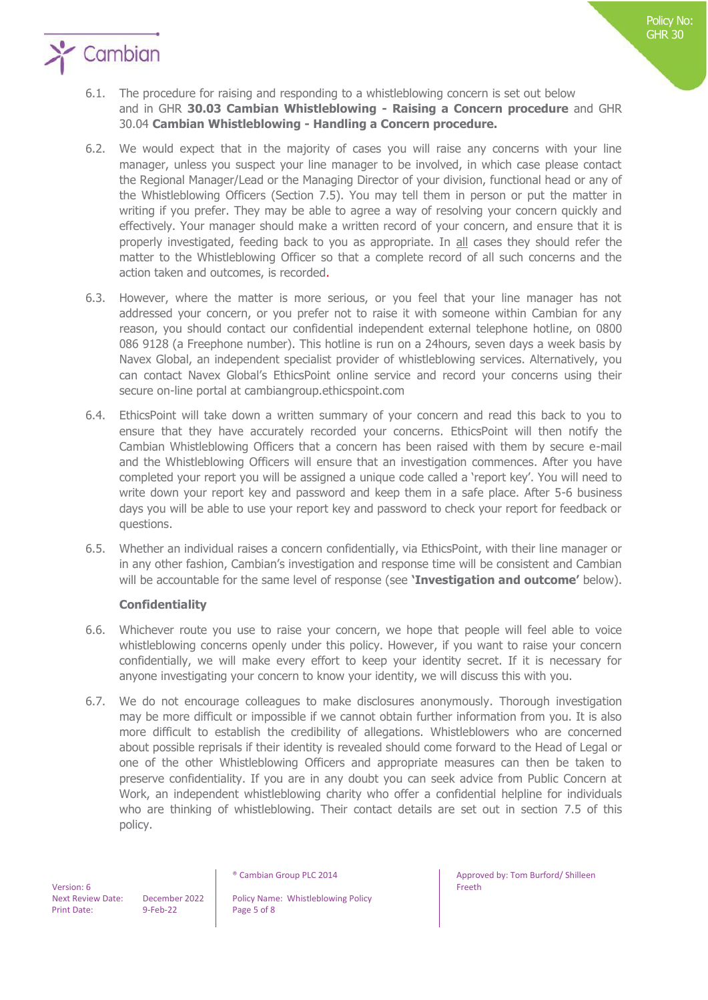

## $\sum$  Cambian

- 6.1. The procedure for raising and responding to a whistleblowing concern is set out below and in GHR **30.03 Cambian Whistleblowing - Raising a Concern procedure** and GHR 30.04 **Cambian Whistleblowing - Handling a Concern procedure.**
- 6.2. We would expect that in the majority of cases you will raise any concerns with your line manager, unless you suspect your line manager to be involved, in which case please contact the Regional Manager/Lead or the Managing Director of your division, functional head or any of the Whistleblowing Officers (Section 7.5). You may tell them in person or put the matter in writing if you prefer. They may be able to agree a way of resolving your concern quickly and effectively. Your manager should make a written record of your concern, and ensure that it is properly investigated, feeding back to you as appropriate. In all cases they should refer the matter to the Whistleblowing Officer so that a complete record of all such concerns and the action taken and outcomes, is recorded.
- 6.3. However, where the matter is more serious, or you feel that your line manager has not addressed your concern, or you prefer not to raise it with someone within Cambian for any reason, you should contact our confidential independent external telephone hotline, on 0800 086 9128 (a Freephone number). This hotline is run on a 24hours, seven days a week basis by Navex Global, an independent specialist provider of whistleblowing services. Alternatively, you can contact Navex Global's EthicsPoint online service and record your concerns using their secure on-line portal at cambiangroup.ethicspoint.com
- 6.4. EthicsPoint will take down a written summary of your concern and read this back to you to ensure that they have accurately recorded your concerns. EthicsPoint will then notify the Cambian Whistleblowing Officers that a concern has been raised with them by secure e-mail and the Whistleblowing Officers will ensure that an investigation commences. After you have completed your report you will be assigned a unique code called a 'report key'. You will need to write down your report key and password and keep them in a safe place. After 5-6 business days you will be able to use your report key and password to check your report for feedback or questions.
- 6.5. Whether an individual raises a concern confidentially, via EthicsPoint, with their line manager or in any other fashion, Cambian's investigation and response time will be consistent and Cambian will be accountable for the same level of response (see **'Investigation and outcome'** below).

### **Confidentiality**

- 6.6. Whichever route you use to raise your concern, we hope that people will feel able to voice whistleblowing concerns openly under this policy. However, if you want to raise your concern confidentially, we will make every effort to keep your identity secret. If it is necessary for anyone investigating your concern to know your identity, we will discuss this with you.
- 6.7. We do not encourage colleagues to make disclosures anonymously. Thorough investigation may be more difficult or impossible if we cannot obtain further information from you. It is also more difficult to establish the credibility of allegations. Whistleblowers who are concerned about possible reprisals if their identity is revealed should come forward to the Head of Legal or one of the other Whistleblowing Officers and appropriate measures can then be taken to preserve confidentiality. If you are in any doubt you can seek advice from Public Concern at Work, an independent whistleblowing charity who offer a confidential helpline for individuals who are thinking of whistleblowing. Their contact details are set out in section 7.5 of this policy.

 Version: 6 Print Date: 9-Feb-22 Page 5 of 8

Next Review Date: December 2022 | Policy Name: Whistleblowing Policy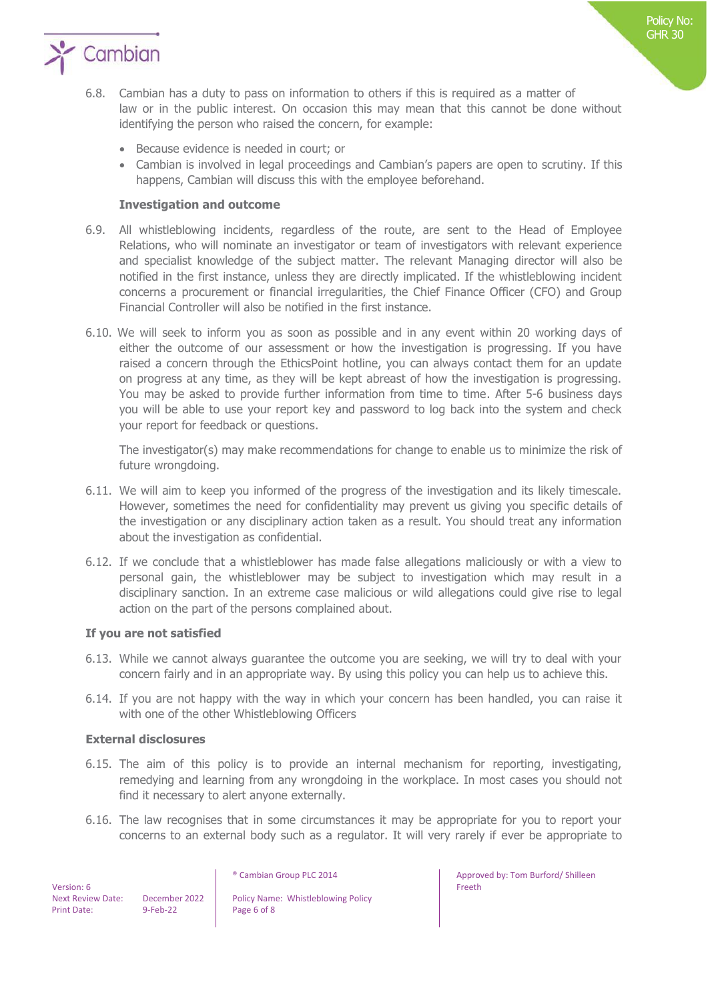

- 6.8. Cambian has a duty to pass on information to others if this is required as a matter of law or in the public interest. On occasion this may mean that this cannot be done without identifying the person who raised the concern, for example:
	- Because evidence is needed in court; or
	- Cambian is involved in legal proceedings and Cambian's papers are open to scrutiny. If this happens, Cambian will discuss this with the employee beforehand.

### **Investigation and outcome**

- 6.9. All whistleblowing incidents, regardless of the route, are sent to the Head of Employee Relations, who will nominate an investigator or team of investigators with relevant experience and specialist knowledge of the subject matter. The relevant Managing director will also be notified in the first instance, unless they are directly implicated. If the whistleblowing incident concerns a procurement or financial irregularities, the Chief Finance Officer (CFO) and Group Financial Controller will also be notified in the first instance.
- 6.10. We will seek to inform you as soon as possible and in any event within 20 working days of either the outcome of our assessment or how the investigation is progressing. If you have raised a concern through the EthicsPoint hotline, you can always contact them for an update on progress at any time, as they will be kept abreast of how the investigation is progressing. You may be asked to provide further information from time to time. After 5-6 business days you will be able to use your report key and password to log back into the system and check your report for feedback or questions.

The investigator(s) may make recommendations for change to enable us to minimize the risk of future wrongdoing.

- 6.11. We will aim to keep you informed of the progress of the investigation and its likely timescale. However, sometimes the need for confidentiality may prevent us giving you specific details of the investigation or any disciplinary action taken as a result. You should treat any information about the investigation as confidential.
- 6.12. If we conclude that a whistleblower has made false allegations maliciously or with a view to personal gain, the whistleblower may be subject to investigation which may result in a disciplinary sanction. In an extreme case malicious or wild allegations could give rise to legal action on the part of the persons complained about.

### **If you are not satisfied**

- 6.13. While we cannot always guarantee the outcome you are seeking, we will try to deal with your concern fairly and in an appropriate way. By using this policy you can help us to achieve this.
- 6.14. If you are not happy with the way in which your concern has been handled, you can raise it with one of the other Whistleblowing Officers

### **External disclosures**

- 6.15. The aim of this policy is to provide an internal mechanism for reporting, investigating, remedying and learning from any wrongdoing in the workplace. In most cases you should not find it necessary to alert anyone externally.
- 6.16. The law recognises that in some circumstances it may be appropriate for you to report your concerns to an external body such as a regulator. It will very rarely if ever be appropriate to

 Version: 6 Print Date: 9-Feb-22 Page 6 of 8

Next Review Date: December 2022 | Policy Name: Whistleblowing Policy

® Cambian Group PLC 2014 **Approved by: Tom Burford/ Shilleen** Freeth

Policy No: GHR 30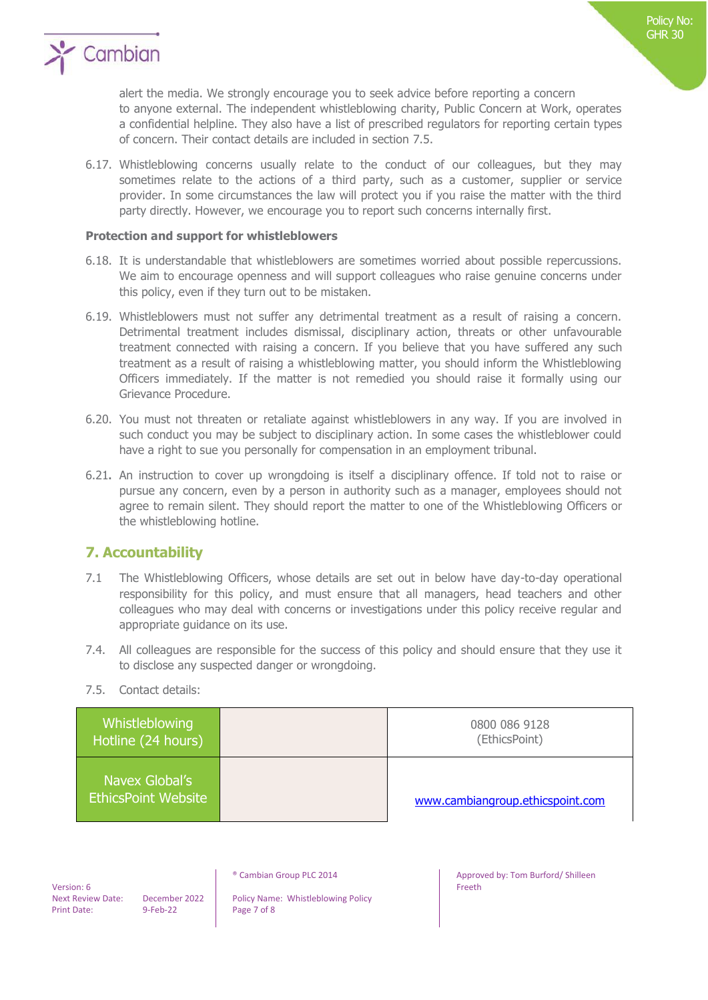

alert the media. We strongly encourage you to seek advice before reporting a concern to anyone external. The independent whistleblowing charity, Public Concern at Work, operates a confidential helpline. They also have a list of prescribed regulators for reporting certain types of concern. Their contact details are included in section 7.5.

6.17. Whistleblowing concerns usually relate to the conduct of our colleagues, but they may sometimes relate to the actions of a third party, such as a customer, supplier or service provider. In some circumstances the law will protect you if you raise the matter with the third party directly. However, we encourage you to report such concerns internally first.

### **Protection and support for whistleblowers**

- 6.18. It is understandable that whistleblowers are sometimes worried about possible repercussions. We aim to encourage openness and will support colleagues who raise genuine concerns under this policy, even if they turn out to be mistaken.
- 6.19. Whistleblowers must not suffer any detrimental treatment as a result of raising a concern. Detrimental treatment includes dismissal, disciplinary action, threats or other unfavourable treatment connected with raising a concern. If you believe that you have suffered any such treatment as a result of raising a whistleblowing matter, you should inform the Whistleblowing Officers immediately. If the matter is not remedied you should raise it formally using our Grievance Procedure.
- 6.20. You must not threaten or retaliate against whistleblowers in any way. If you are involved in such conduct you may be subject to disciplinary action. In some cases the whistleblower could have a right to sue you personally for compensation in an employment tribunal.
- 6.21**.** An instruction to cover up wrongdoing is itself a disciplinary offence. If told not to raise or pursue any concern, even by a person in authority such as a manager, employees should not agree to remain silent. They should report the matter to one of the Whistleblowing Officers or the whistleblowing hotline.

### **7. Accountability**

- 7.1 The Whistleblowing Officers, whose details are set out in below have day-to-day operational responsibility for this policy, and must ensure that all managers, head teachers and other colleagues who may deal with concerns or investigations under this policy receive regular and appropriate guidance on its use.
- 7.4. All colleagues are responsible for the success of this policy and should ensure that they use it to disclose any suspected danger or wrongdoing.
- 7.5. Contact details:

| Whistleblowing<br>Hotline (24 hours)         | 0800 086 9128<br>(EthicsPoint)   |
|----------------------------------------------|----------------------------------|
| Navex Global's<br><b>EthicsPoint Website</b> | www.cambiangroup.ethicspoint.com |

 Version: 6 Print Date: 9-Feb-22 Page 7 of 8

Next Review Date: December 2022 | Policy Name: Whistleblowing Policy